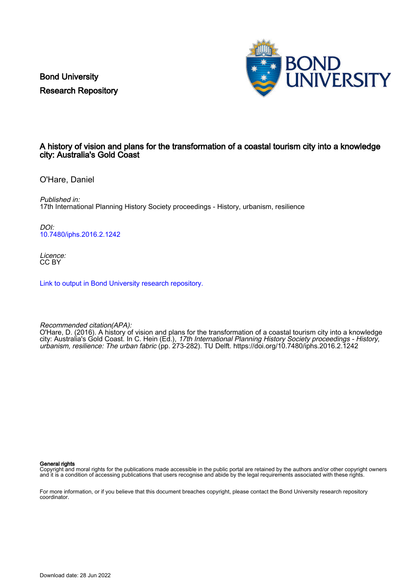Bond University Research Repository



### A history of vision and plans for the transformation of a coastal tourism city into a knowledge city: Australia's Gold Coast

O'Hare, Daniel

Published in: 17th International Planning History Society proceedings - History, urbanism, resilience

DOI: [10.7480/iphs.2016.2.1242](https://doi.org/10.7480/iphs.2016.2.1242)

Licence: CC BY

[Link to output in Bond University research repository.](https://research.bond.edu.au/en/publications/d8c0a96e-3c50-4ed8-9c37-f5f33b232bca)

Recommended citation(APA):

O'Hare, D. (2016). A history of vision and plans for the transformation of a coastal tourism city into a knowledge city: Australia's Gold Coast. In C. Hein (Ed.), *17th International Planning History Society proceedings - History,* urbanism, resilience: The urban fabric (pp. 273-282). TU Delft. <https://doi.org/10.7480/iphs.2016.2.1242>

General rights

Copyright and moral rights for the publications made accessible in the public portal are retained by the authors and/or other copyright owners and it is a condition of accessing publications that users recognise and abide by the legal requirements associated with these rights.

For more information, or if you believe that this document breaches copyright, please contact the Bond University research repository coordinator.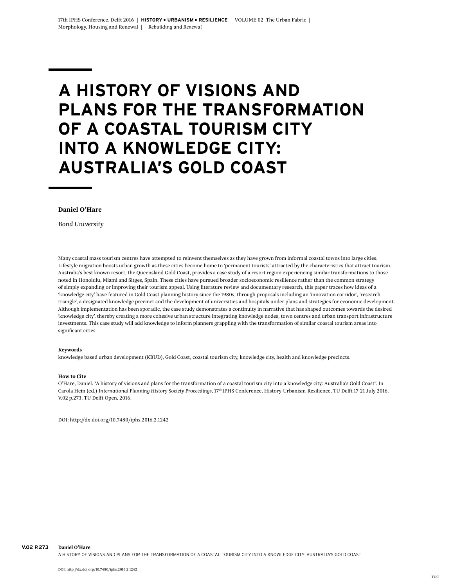# **A HISTORY OF VISIONS AND PLANS FOR THE TRANSFORMATION OF A COASTAL TOURISM CITY INTO A KNOWLEDGE CITY: AUSTRALIA'S GOLD COAST**

### **Daniel O'Hare**

 *Bond University*

Many coastal mass tourism centres have attempted to reinvent themselves as they have grown from informal coastal towns into large cities. Lifestyle migration boosts urban growth as these cities become home to 'permanent tourists' attracted by the characteristics that attract tourism. Australia's best known resort, the Queensland Gold Coast, provides a case study of a resort region experiencing similar transformations to those noted in Honolulu, Miami and Sitges, Spain. These cities have pursued broader socioeconomic resilience rather than the common strategy of simply expanding or improving their tourism appeal. Using literature review and documentary research, this paper traces how ideas of a 'knowledge city' have featured in Gold Coast planning history since the 1980s, through proposals including an 'innovation corridor', 'research triangle', a designated knowledge precinct and the development of universities and hospitals under plans and strategies for economic development. Although implementation has been sporadic, the case study demonstrates a continuity in narrative that has shaped outcomes towards the desired 'knowledge city', thereby creating a more cohesive urban structure integrating knowledge nodes, town centres and urban transport infrastructure investments. This case study will add knowledge to inform planners grappling with the transformation of similar coastal tourism areas into significant cities.

### **Keywords**

knowledge based urban development (KBUD), Gold Coast, coastal tourism city, knowledge city, health and knowledge precincts.

### **How to Cite**

O'Hare, Daniel. "A history of visions and plans for the transformation of a coastal tourism city into a knowledge city: Australia's Gold Coast". In Carola Hein (ed.) *International Planning History Society Proceedings*, 17th IPHS Conference, History-Urbanism-Resilience, TU Delft 17-21 July 2016, V.02 p.273, TU Delft Open, 2016.

DOI: http://dx.doi.org/10.7480/iphs.2016.2.1242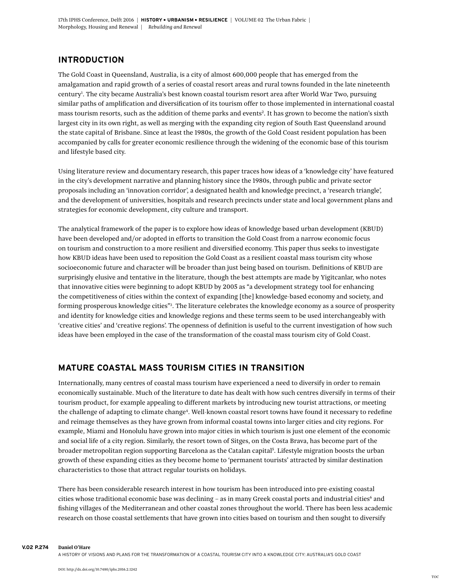### **INTRODUCTION**

The Gold Coast in Queensland, Australia, is a city of almost 600,000 people that has emerged from the amalgamation and rapid growth of a series of coastal resort areas and rural towns founded in the late nineteenth century1 . The city became Australia's best known coastal tourism resort area after World War Two, pursuing similar paths of amplification and diversification of its tourism offer to those implemented in international coastal mass tourism resorts, such as the addition of theme parks and events<sup>2</sup>. It has grown to become the nation's sixth largest city in its own right, as well as merging with the expanding city region of South East Queensland around the state capital of Brisbane. Since at least the 1980s, the growth of the Gold Coast resident population has been accompanied by calls for greater economic resilience through the widening of the economic base of this tourism and lifestyle based city.

Using literature review and documentary research, this paper traces how ideas of a 'knowledge city' have featured in the city's development narrative and planning history since the 1980s, through public and private sector proposals including an 'innovation corridor', a designated health and knowledge precinct, a 'research triangle', and the development of universities, hospitals and research precincts under state and local government plans and strategies for economic development, city culture and transport.

The analytical framework of the paper is to explore how ideas of knowledge based urban development (KBUD) have been developed and/or adopted in efforts to transition the Gold Coast from a narrow economic focus on tourism and construction to a more resilient and diversified economy. This paper thus seeks to investigate how KBUD ideas have been used to reposition the Gold Coast as a resilient coastal mass tourism city whose socioeconomic future and character will be broader than just being based on tourism. Definitions of KBUD are surprisingly elusive and tentative in the literature, though the best attempts are made by Yigitcanlar, who notes that innovative cities were beginning to adopt KBUD by 2005 as "a development strategy tool for enhancing the competitiveness of cities within the context of expanding [the] knowledge-based economy and society, and forming prosperous knowledge cities"3 . The literature celebrates the knowledge economy as a source of prosperity and identity for knowledge cities and knowledge regions and these terms seem to be used interchangeably with 'creative cities' and 'creative regions'. The openness of definition is useful to the current investigation of how such ideas have been employed in the case of the transformation of the coastal mass tourism city of Gold Coast.

### **MATURE COASTAL MASS TOURISM CITIES IN TRANSITION**

Internationally, many centres of coastal mass tourism have experienced a need to diversify in order to remain economically sustainable. Much of the literature to date has dealt with how such centres diversify in terms of their tourism product, for example appealing to different markets by introducing new tourist attractions, or meeting the challenge of adapting to climate change<sup>4</sup>. Well-known coastal resort towns have found it necessary to redefine and reimage themselves as they have grown from informal coastal towns into larger cities and city regions. For example, Miami and Honolulu have grown into major cities in which tourism is just one element of the economic and social life of a city region. Similarly, the resort town of Sitges, on the Costa Brava, has become part of the broader metropolitan region supporting Barcelona as the Catalan capital5 . Lifestyle migration boosts the urban growth of these expanding cities as they become home to 'permanent tourists' attracted by similar destination characteristics to those that attract regular tourists on holidays.

There has been considerable research interest in how tourism has been introduced into pre-existing coastal cities whose traditional economic base was declining - as in many Greek coastal ports and industrial cities<sup>6</sup> and fishing villages of the Mediterranean and other coastal zones throughout the world. There has been less academic research on those coastal settlements that have grown into cities based on tourism and then sought to diversify

**V.02 p.274 Daniel O'Hare**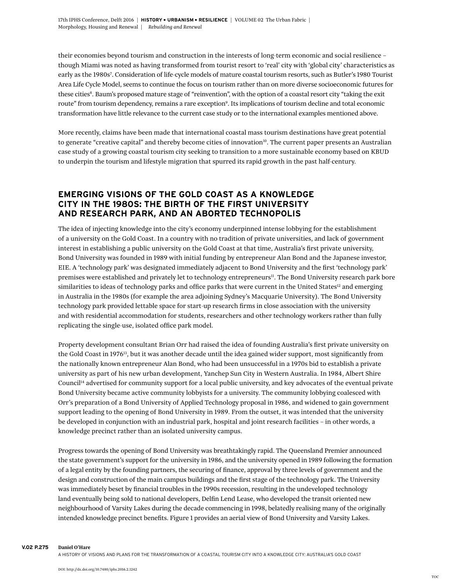their economies beyond tourism and construction in the interests of long-term economic and social resilience – though Miami was noted as having transformed from tourist resort to 'real' city with 'global city' characteristics as early as the 1980s7 . Consideration of life-cycle models of mature coastal tourism resorts, such as Butler's 1980 Tourist Area Life Cycle Model, seems to continue the focus on tourism rather than on more diverse socioeconomic futures for these cities<sup>8</sup>. Baum's proposed mature stage of "reinvention", with the option of a coastal resort city "taking the exit route" from tourism dependency, remains a rare exception<sup>9</sup>. Its implications of tourism decline and total economic transformation have little relevance to the current case study or to the international examples mentioned above.

More recently, claims have been made that international coastal mass tourism destinations have great potential to generate "creative capital" and thereby become cities of innovation<sup>10</sup>. The current paper presents an Australian case study of a growing coastal tourism city seeking to transition to a more sustainable economy based on KBUD to underpin the tourism and lifestyle migration that spurred its rapid growth in the past half-century.

# **EMERGING VISIONS OF THE GOLD COAST AS A KNOWLEDGE CITY IN THE 1980S: THE BIRTH OF THE FIRST UNIVERSITY AND RESEARCH PARK, AND AN ABORTED TECHNOPOLIS**

The idea of injecting knowledge into the city's economy underpinned intense lobbying for the establishment of a university on the Gold Coast. In a country with no tradition of private universities, and lack of government interest in establishing a public university on the Gold Coast at that time, Australia's first private university, Bond University was founded in 1989 with initial funding by entrepreneur Alan Bond and the Japanese investor, EIE. A 'technology park' was designated immediately adjacent to Bond University and the first 'technology park' premises were established and privately let to technology entrepreneurs<sup>11</sup>. The Bond University research park bore similarities to ideas of technology parks and office parks that were current in the United States<sup>12</sup> and emerging in Australia in the 1980s (for example the area adjoining Sydney's Macquarie University). The Bond University technology park provided lettable space for start-up research firms in close association with the university and with residential accommodation for students, researchers and other technology workers rather than fully replicating the single-use, isolated office park model.

Property development consultant Brian Orr had raised the idea of founding Australia's first private university on the Gold Coast in 1976<sup>13</sup>, but it was another decade until the idea gained wider support, most significantly from the nationally known entrepreneur Alan Bond, who had been unsuccessful in a 1970s bid to establish a private university as part of his new urban development, Yanchep Sun City in Western Australia. In 1984, Albert Shire Council14 advertised for community support for a local public university, and key advocates of the eventual private Bond University became active community lobbyists for a university. The community lobbying coalesced with Orr's preparation of a Bond University of Applied Technology proposal in 1986, and widened to gain government support leading to the opening of Bond University in 1989. From the outset, it was intended that the university be developed in conjunction with an industrial park, hospital and joint research facilities – in other words, a knowledge precinct rather than an isolated university campus.

Progress towards the opening of Bond University was breathtakingly rapid. The Queensland Premier announced the state government's support for the university in 1986, and the university opened in 1989 following the formation of a legal entity by the founding partners, the securing of finance, approval by three levels of government and the design and construction of the main campus buildings and the first stage of the technology park. The University was immediately beset by financial troubles in the 1990s recession, resulting in the undeveloped technology land eventually being sold to national developers, Delfin Lend Lease, who developed the transit oriented new neighbourhood of Varsity Lakes during the decade commencing in 1998, belatedly realising many of the originally intended knowledge precinct benefits. Figure 1 provides an aerial view of Bond University and Varsity Lakes.

**V.02 p.275 Daniel O'Hare**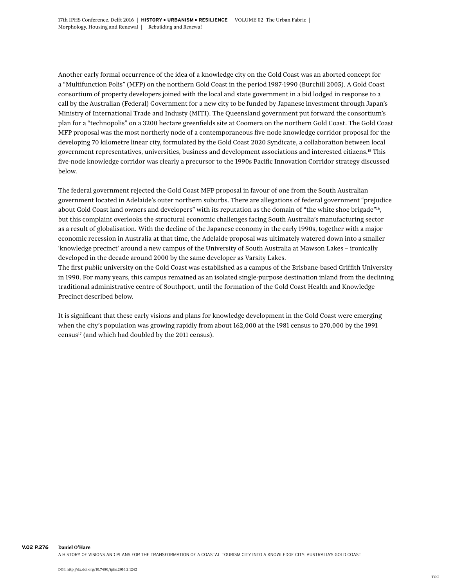Another early formal occurrence of the idea of a knowledge city on the Gold Coast was an aborted concept for a "Multifunction Polis" (MFP) on the northern Gold Coast in the period 1987-1990 (Burchill 2005). A Gold Coast consortium of property developers joined with the local and state government in a bid lodged in response to a call by the Australian (Federal) Government for a new city to be funded by Japanese investment through Japan's Ministry of International Trade and Industy (MITI). The Queensland government put forward the consortium's plan for a "technopolis" on a 3200 hectare greenfields site at Coomera on the northern Gold Coast. The Gold Coast MFP proposal was the most northerly node of a contemporaneous five-node knowledge corridor proposal for the developing 70 kilometre linear city, formulated by the Gold Coast 2020 Syndicate, a collaboration between local government representatives, universities, business and development associations and interested citizens.15 This five-node knowledge corridor was clearly a precursor to the 1990s Pacific Innovation Corridor strategy discussed below.

The federal government rejected the Gold Coast MFP proposal in favour of one from the South Australian government located in Adelaide's outer northern suburbs. There are allegations of federal government "prejudice about Gold Coast land owners and developers" with its reputation as the domain of "the white shoe brigade"<sup>16</sup>, but this complaint overlooks the structural economic challenges facing South Australia's manufacturing sector as a result of globalisation. With the decline of the Japanese economy in the early 1990s, together with a major economic recession in Australia at that time, the Adelaide proposal was ultimately watered down into a smaller 'knowledge precinct' around a new campus of the University of South Australia at Mawson Lakes – ironically developed in the decade around 2000 by the same developer as Varsity Lakes.

The first *public* university on the Gold Coast was established as a campus of the Brisbane-based Griffith University in 1990. For many years, this campus remained as an isolated single-purpose destination inland from the declining traditional administrative centre of Southport, until the formation of the Gold Coast Health and Knowledge Precinct described below.

It is significant that these early visions and plans for knowledge development in the Gold Coast were emerging when the city's population was growing rapidly from about 162,000 at the 1981 census to 270,000 by the 1991 census17 (and which had doubled by the 2011 census).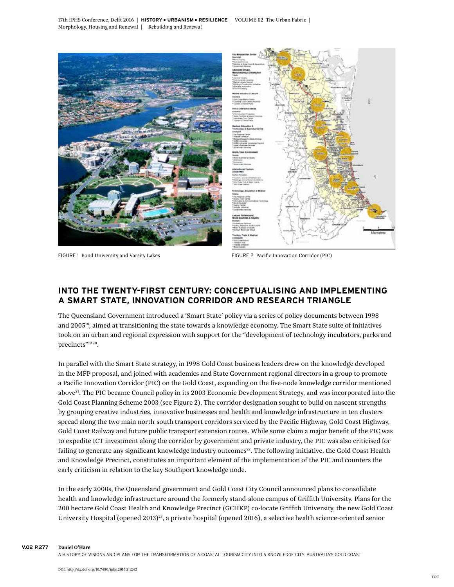17th IPHS Conference, Delft 2016 <sup>|</sup> **HISTORY** - **URBANISM** - **RESILIENCE** <sup>|</sup> Volume 02 The Urban Fabric | Morphology, Housing and Renewal | *Rebuilding and Renewal*





FIGURE 1 Bond University and Varsity Lakes FIGURE 2 Pacific Innovation Corridor (PIC)

# **INTO THE TWENTY-FIRST CENTURY: CONCEPTUALISING AND IMPLEMENTING A SMART STATE, INNOVATION CORRIDOR AND RESEARCH TRIANGLE**

The Queensland Government introduced a 'Smart State' policy via a series of policy documents between 1998 and 200518, aimed at transitioning the state towards a knowledge economy. The Smart State suite of initiatives took on an urban and regional expression with support for the "development of technology incubators, parks and precincts"19 20.

In parallel with the Smart State strategy, in 1998 Gold Coast business leaders drew on the knowledge developed in the MFP proposal, and joined with academics and State Government regional directors in a group to promote a Pacific Innovation Corridor (PIC) on the Gold Coast, expanding on the five-node knowledge corridor mentioned above<sup>21</sup>. The PIC became Council policy in its 2003 Economic Development Strategy, and was incorporated into the Gold Coast Planning Scheme 2003 (see Figure 2). The corridor designation sought to build on nascent strengths by grouping creative industries, innovative businesses and health and knowledge infrastructure in ten clusters spread along the two main north-south transport corridors serviced by the Pacific Highway, Gold Coast Highway, Gold Coast Railway and future public transport extension routes. While some claim a major benefit of the PIC was to expedite ICT investment along the corridor by government and private industry, the PIC was also criticised for failing to generate any significant knowledge industry outcomes<sup>22</sup>. The following initiative, the Gold Coast Health and Knowledge Precinct, constitutes an important element of the implementation of the PIC and counters the early criticism in relation to the key Southport knowledge node.

In the early 2000s, the Queensland government and Gold Coast City Council announced plans to consolidate health and knowledge infrastructure around the formerly stand-alone campus of Griffith University. Plans for the 200 hectare Gold Coast Health and Knowledge Precinct (GCHKP) co-locate Griffith University, the new Gold Coast University Hospital (opened 2013)<sup>23</sup>, a private hospital (opened 2016), a selective health science-oriented senior

**V.02 p.277 Daniel O'Hare**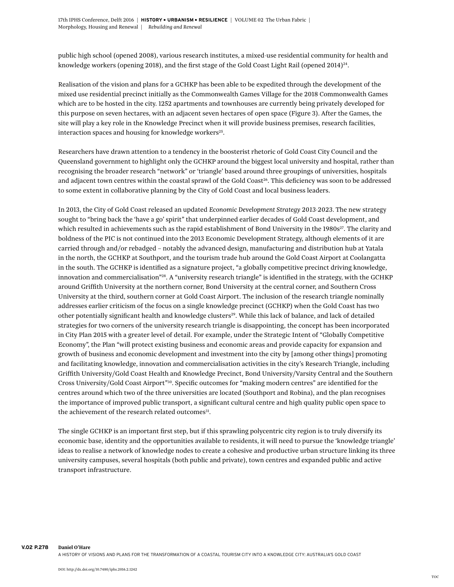public high school (opened 2008), various research institutes, a mixed-use residential community for health and knowledge workers (opening 2018), and the first stage of the Gold Coast Light Rail (opened 2014)<sup>24</sup>.

Realisation of the vision and plans for a GCHKP has been able to be expedited through the development of the mixed use residential precinct initially as the Commonwealth Games Village for the 2018 Commonwealth Games which are to be hosted in the city. 1252 apartments and townhouses are currently being privately developed for this purpose on seven hectares, with an adjacent seven hectares of open space (Figure 3). After the Games, the site will play a key role in the Knowledge Precinct when it will provide business premises, research facilities, interaction spaces and housing for knowledge workers<sup>25</sup>.

Researchers have drawn attention to a tendency in the boosterist rhetoric of Gold Coast City Council and the Queensland government to highlight only the GCHKP around the biggest local university and hospital, rather than recognising the broader research "network" or 'triangle' based around three groupings of universities, hospitals and adjacent town centres within the coastal sprawl of the Gold Coast<sup>26</sup>. This deficiency was soon to be addressed to some extent in collaborative planning by the City of Gold Coast and local business leaders.

In 2013, the City of Gold Coast released an updated *Economic Development Strategy 2013-2023.* The new strategy sought to "bring back the 'have a go' spirit" that underpinned earlier decades of Gold Coast development, and which resulted in achievements such as the rapid establishment of Bond University in the 1980s<sup>27</sup>. The clarity and boldness of the PIC is not continued into the 2013 Economic Development Strategy, although elements of it are carried through and/or rebadged – notably the advanced design, manufacturing and distribution hub at Yatala in the north, the GCHKP at Southport, and the tourism trade hub around the Gold Coast Airport at Coolangatta in the south. The GCHKP is identified as a signature project, "a globally competitive precinct driving knowledge, innovation and commercialisation"28. A "university research triangle" is identified in the strategy, with the GCHKP around Griffith University at the northern corner, Bond University at the central corner, and Southern Cross University at the third, southern corner at Gold Coast Airport. The inclusion of the research triangle nominally addresses earlier criticism of the focus on a single knowledge precinct (GCHKP) when the Gold Coast has two other potentially significant health and knowledge clusters<sup>29</sup>. While this lack of balance, and lack of detailed strategies for two corners of the university research triangle is disappointing, the concept has been incorporated in City Plan 2015 with a greater level of detail. For example, under the Strategic Intent of "Globally Competitive Economy", the Plan "will protect existing business and economic areas and provide capacity for expansion and growth of business and economic development and investment into the city by [among other things] promoting and facilitating knowledge, innovation and commercialisation activities in the city's Research Triangle, including Griffith University/Gold Coast Health and Knowledge Precinct, Bond University/Varsity Central and the Southern Cross University/Gold Coast Airport"30. Specific outcomes for "making modern centres" are identified for the centres around which two of the three universities are located (Southport and Robina), and the plan recognises the importance of improved public transport, a significant cultural centre and high quality public open space to the achievement of the research related outcomes<sup>31</sup>.

The single GCHKP is an important first step, but if this sprawling polycentric city region is to truly diversify its economic base, identity and the opportunities available to residents, it will need to pursue the 'knowledge triangle' ideas to realise a network of knowledge nodes to create a cohesive and productive urban structure linking its three university campuses, several hospitals (both public and private), town centres and expanded public and active transport infrastructure.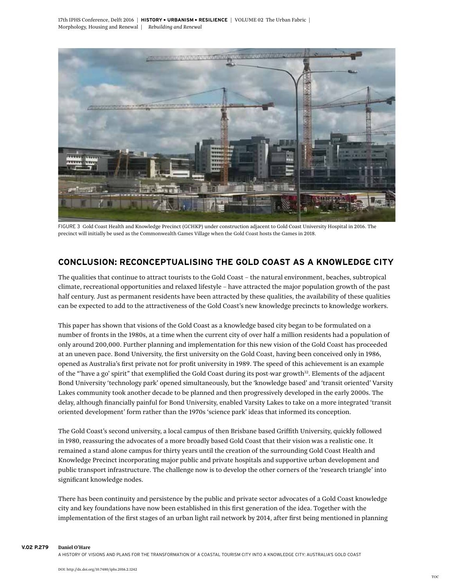

FIGURE 3 Gold Coast Health and Knowledge Precinct (GCHKP) under construction adjacent to Gold Coast University Hospital in 2016. The precinct will initially be used as the Commonwealth Games Village when the Gold Coast hosts the Games in 2018.

# **CONCLUSION: RECONCEPTUALISING THE GOLD COAST AS A KNOWLEDGE CITY**

The qualities that continue to attract tourists to the Gold Coast – the natural environment, beaches, subtropical climate, recreational opportunities and relaxed lifestyle – have attracted the major population growth of the past half century. Just as permanent residents have been attracted by these qualities, the availability of these qualities can be expected to add to the attractiveness of the Gold Coast's new knowledge precincts to knowledge workers.

This paper has shown that visions of the Gold Coast as a knowledge based city began to be formulated on a number of fronts in the 1980s, at a time when the current city of over half a million residents had a population of only around 200,000. Further planning and implementation for this new vision of the Gold Coast has proceeded at an uneven pace. Bond University, the first university on the Gold Coast, having been conceived only in 1986, opened as Australia's first private not for profit university in 1989. The speed of this achievement is an example of the "'have a go' spirit" that exemplified the Gold Coast during its post-war growth<sup>32</sup>. Elements of the adjacent Bond University 'technology park' opened simultaneously, but the 'knowledge based' and 'transit oriented' Varsity Lakes community took another decade to be planned and then progressively developed in the early 2000s. The delay, although financially painful for Bond University, enabled Varsity Lakes to take on a more integrated 'transit oriented development' form rather than the 1970s 'science park' ideas that informed its conception.

The Gold Coast's second university, a local campus of then Brisbane based Griffith University, quickly followed in 1980, reassuring the advocates of a more broadly based Gold Coast that their vision was a realistic one. It remained a stand-alone campus for thirty years until the creation of the surrounding Gold Coast Health and Knowledge Precinct incorporating major public and private hospitals and supportive urban development and public transport infrastructure. The challenge now is to develop the other corners of the 'research triangle' into significant knowledge nodes.

There has been continuity and persistence by the public and private sector advocates of a Gold Coast knowledge city and key foundations have now been established in this first generation of the idea. Together with the implementation of the first stages of an urban light rail network by 2014, after first being mentioned in planning

**V.02 p.279 Daniel O'Hare**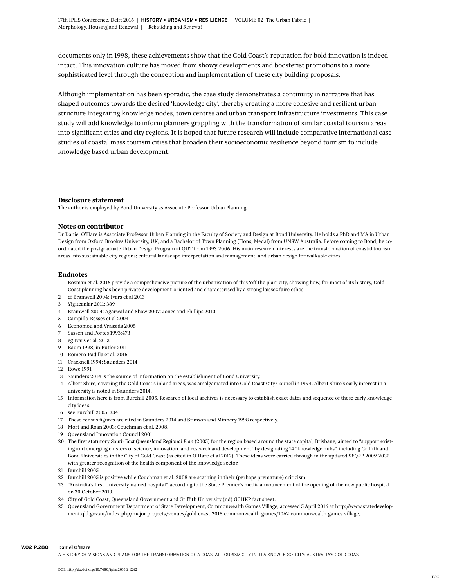documents only in 1998, these achievements show that the Gold Coast's reputation for bold innovation is indeed intact. This innovation culture has moved from showy developments and boosterist promotions to a more sophisticated level through the conception and implementation of these city building proposals.

Although implementation has been sporadic, the case study demonstrates a continuity in narrative that has shaped outcomes towards the desired 'knowledge city', thereby creating a more cohesive and resilient urban structure integrating knowledge nodes, town centres and urban transport infrastructure investments. This case study will add knowledge to inform planners grappling with the transformation of similar coastal tourism areas into significant cities and city regions. It is hoped that future research will include comparative international case studies of coastal mass tourism cities that broaden their socioeconomic resilience beyond tourism to include knowledge based urban development.

### **Disclosure statement**

The author is employed by Bond University as Associate Professor Urban Planning.

### **Notes on contributor**

Dr Daniel O'Hare is Associate Professor Urban Planning in the Faculty of Society and Design at Bond University. He holds a PhD and MA in Urban Design from Oxford Brookes University, UK, and a Bachelor of Town Planning (Hons, Medal) from UNSW Australia. Before coming to Bond, he coordinated the postgraduate Urban Design Program at QUT from 1993-2006. His main research interests are the transformation of coastal tourism areas into sustainable city regions; cultural landscape interpretation and management; and urban design for walkable cities.

### **Endnotes**

- 1 Bosman et al. 2016 provide a comprehensive picture of the urbanisation of this 'off the plan' city, showing how, for most of its history, Gold Coast planning has been private development-oriented and characterised by a strong laissez faire ethos.
- 2 cf Bramwell 2004; Ivars et al 2013
- 3 Yigitcanlar 2011: 389
- 4 Bramwell 2004; Agarwal and Shaw 2007; Jones and Phillips 2010
- 5 Campillo-Besses et al 2004
- 6 Economou and Vrassida 2005
- 7 Sassen and Portes 1993:473
- 8 eg Ivars et al. 2013
- 9 Baum 1998, in Butler 2011
- 10 Romero-Padilla et al. 2016
- 11 Cracknell 1994; Saunders 2014
- 12 Rowe 1991
- 13 Saunders 2014 is the source of information on the establishment of Bond University.
- 14 Albert Shire, covering the Gold Coast's inland areas, was amalgamated into Gold Coast City Council in 1994. Albert Shire's early interest in a university is noted in Saunders 2014.
- 15 Information here is from Burchill 2005. Research of local archives is necessary to establish exact dates and sequence of these early knowledge city ideas.
- 16 see Burchill 2005: 334
- 17 These census figures are cited in Saunders 2014 and Stimson and Minnery 1998 respectively.
- 18 Mort and Roan 2003; Couchman et al. 2008.
- 19 Queensland Innovation Council 2001
- 20 The first statutory *South East Queensland Regional Plan* (2005) for the region based around the state capital, Brisbane, aimed to "support existing and emerging clusters of science, innovation, and research and development" by designating 14 "knowledge hubs", including Griffith and Bond Universities in the City of Gold Coast (as cited in O'Hare et al 2012). These ideas were carried through in the updated *SEQRP 2009-2031* with greater recognition of the health component of the knowledge sector.
- 21 Burchill 2005
- 22 Burchill 2005 is positive while Couchman et al. 2008 are scathing in their (perhaps premature) criticism.
- 23 "Australia's first University-named hospital", according to the State Premier's media announcement of the opening of the new public hospital on 30 October 2013.
- 24 City of Gold Coast, Queensland Government and Griffith University (nd) GCHKP fact sheet.
- 25 Queensland Government Department of State Development, Commonwealth Games Village, accessed 5 April 2016 at http://www.statedevelopment.qld.gov.au/index.php/major-projects/venues/gold-coast-2018-commonwealth-games/1062-commonwealth-games-village,.

#### **V.02 p.280 Daniel O'Hare**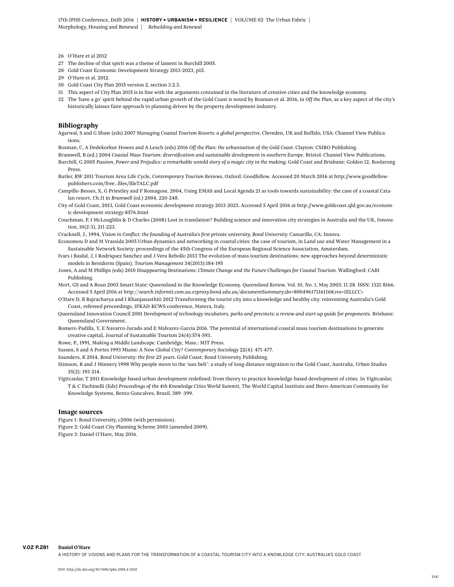- 26 O'Hare et al 2012
- 27 The decline of that spirit was a theme of lament in Burchill 2005.
- 28 Gold Coast Economic Development Strategy 2013-2023, p15.
- 29 O'Hare et al. 2012.
- 30 Gold Coast City Plan 2015 version 2, section 3.2.3.
- 31 This aspect of City Plan 2015 is in line with the arguments contained in the literature of creative cities and the knowledge economy.
- 32 The 'have a go' spirit behind the rapid urban growth of the Gold Coast is noted by Bosman et al. 2016, in *Off the Plan,* as a key aspect of the city's historically laissez faire approach to planning driven by the property development industry.

#### **Bibliography**

Agarwal, S and G Shaw (eds) 2007 *Managing Coastal Tourism Resorts: a global perspective.* Cleveden, UK and Buffalo, USA: Channel View Publications.

Bosman, C, A Dedekorkut-Howes and A Leach (eds) 2016 *Off the Plan: the urbanisation of the Gold Coast.* Clayton: CSIRO Publishing.

Bramwell, B (ed.) 2004 *Coastal Mass Tourism: diversification and sustainable development in southern Europe.* Bristol: Channel View Publications.

Burchill, G 2005 Passion, Power and Prejudice: a remarkable untold story of a magic city in the making. Gold Coast and Brisbane: Golden 12, Boolarong Press.

Butler, RW 2011 Tourism Area Life Cycle, *Contemporary Tourism Reviews*, Oxford: Goodfellow. Accessed 20 March 2016 at http://www.goodfellowpublishers.com/free\_files/fileTALC.pdf

Campillo-Besses, X, G Priestley and F Romagose, 2004, Using EMAS and Local Agenda 21 as tools towards sustainability: the case of a coastal Catalan resort, Ch.11 in *Bramwell (ed.) 2004*, 220-248.

City of Gold Coast, 2013, Gold Coast economic development strategy 2013-2023. Accessed 5 April 2016 at http://www.goldcoast.qld.gov.au/economic-development-strategy-8576.html

Couchman, P, I McLoughlin & D Charles (2008) Lost in translation? Building science and innovation city strategies in Australia and the UK, *Innovation*, 10(2-3), 211-223.

Cracknell, J., 1994, *Vision in Conflict: the founding of Australia's first private university, Bond University.* Camarillo, CA: Innova.

Economou D and M Vrassida 2005 Urban dynamics and networking in coastal cities: the case of tourism, in Land use and Water Management in a Sustainable Network Society: proceedings of the 45th Congress of the European Regional Science Association, Amsterdam.

Ivars i Baidal, J, I Rodriquez Sanchez and J Vera Rebollo 2013 The evolution of mass tourism destinations: new approaches beyond deterministic models in Benidorm (Spain), *Tourism Management* 34(2013):184-195

Jones, A and M Phillips (eds) 2010 *Disappearing Destinations: Climate Change and the Future Challenges for Coastal Tourism.* Wallingford: CABI Publishing.

Mort, GS and A Roan 2003 Smart State: Queensland in the Knowledge Economy. *Queensland Review*, Vol. 10, No. 1, May 2003: 11-28. ISSN: 1321-8166. Accessed 5 April 2016 at *http://search.informit.com.au.ezproxy.bond.edu.au/documentSummary;dn=800496171161168;res=IELLCC>*

O'Hare D, B Bajracharya and I Khanjanasthiti 2012 Transforming the tourist city into a knowledge and healthy city: reinventing Australia's Gold Coast, refereed proceedings, IFKAD-KCWS conference, Matera, Italy.

Queensland Innovation Council 2001 *Development of technology incubators, parks and precincts: a review and start-up guide for proponents*. Brisbane: Queensland Government.

Romero-Padilla, Y, E Navarro-Jurado and E Malvarez-Garcia 2016. The potential of international coastal mass tourism destinations to generate creative capital, Journal of Sustainable Tourism 24(4):574-593.

Rowe, P., 1991, *Making a Middle Landscape.* Cambridge, Mass.: MIT Press.

Sassen, S and A Portes 1993 Miami: A New Global City? *Contemporary Sociology* 22(4): 471-477.

Saunders, K 2014, *Bond University: the first 25 years.* Gold Coast: Bond University Publishing.

Stimson, R and J Minnery 1998 Why people move to the 'sun-belt': a study of long-distance migration to the Gold Coast, Australia, *Urban Studies* 35(2): 193-214.

Yigitcanlar, T 2011 Knowledge-based urban development redefined: from theory to practice knowledge-based development of cities. In Yigitcanlar, T & C Fachinelli (Eds*) Proceedings of the 4th Knowledge Cities World Summit*, The World Capital Institute and Ibero-American Community for Knowledge Systems, Bento Goncalves, Brazil, 389 -399.

### **Image sources**

Figure 1: Bond University, c2006 (with permission).

Figure 2: Gold Coast City Planning Scheme 2003 (amended 2009).

Figure 3: Daniel O'Hare, May 2016.